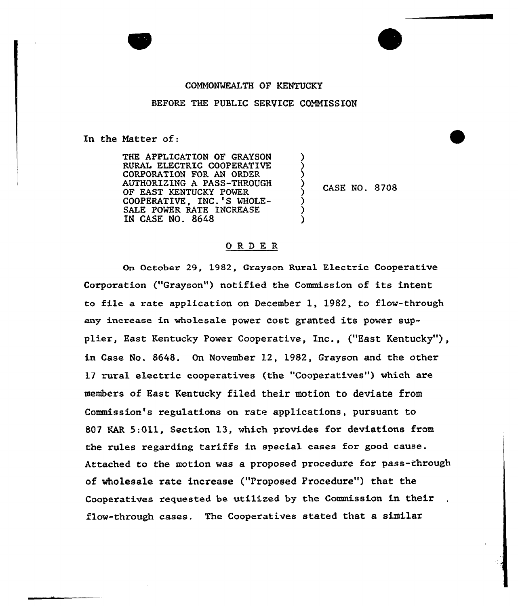## COMMONWEALTH OF KENTUCKY

## BEFORE THE PUBLIC SERVICE COMMISSION

) ز )

 $\sum\limits_{i=1}^{n}$ 

) ) )

In the Matter of:

THE APPLICATION OF GRAYSON RURAL ELECTRIC COOPERATIVE CORPORATION FOR AN ORDER AUTHORIZING A PASS-THROUGH OF EAST KENTUCKY POWER COOPERATIVE, INC.'S WHOLE-SALE POWER RATE INCREASE IN CASE NO. 8648

CASE NO. 8708

## ORDER

On October 29, 1982, Grayson Rural Electric Cooperative Corporation ("Grayson") notified the Commission of its intent to file a rate application on December 1, 1982, to flow-through any increase in wholesale power cost granted its power supplier, East Kentucky Power Cooperative, Inc., ("East Kentucky"), in Case No. 8648. On Novembex 12, 1982, Grayson and the othex 17 rural electric cooperatives (the "Cooperatives") which are members of East Kentucky filed their motion to deviate from Commission's regulations on rate applications, pursuant to 807 KAR 5:Qll, Section 13, which provides for deviations from the rules regarding tariffs in special cases for good cause. Attached to the motion was a proposed procedure for pass-through of wholesale rate increase ("Proposed Procedure") that the Cooperatives requested be utilized by the Commission in their flow-through cases. The Cooperatives stated that a similar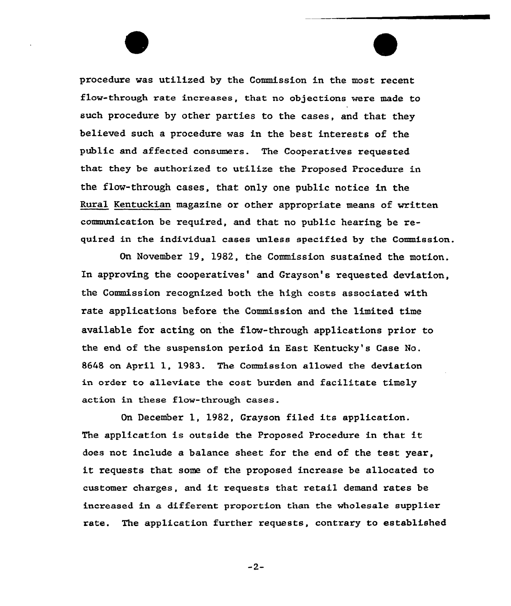procedure was utilized by the Commission in the most recent flow-through rate increases, that, no objections were made to such procedure by other parties to the cases, and that they believed such a procedure was in the best interests of the public and affected consumers. The Cooperatives requested that they be authorized to utilize the Proposed Procedure in the flow-through cases, that only one public notice in the Rural Kentuckian magazine or other appropriate means of written communication be required, and that no public hearing be required in the individual cases unless specified by the Commission.

On November 19, 1982, the Commission sustained the motion. In approving the cooperatives' and Grayson's requested deviation, the Commission recognized both the high costs associated with rate applications before the Commission and the limited time available for acting on the flow-through applications prior to the end of the suspension period in East Kentucky's Case No. 8648 on April 1, 1983. The Commission allowed the deviation in order to alleviate the cost burden and facilitate timely action in these flow-through cases.

On December 1, 1982, Grayson filed its application. The application is outside the Proposed Procedure in that it does not include a balance sheet for the end of the test year, it requests that some of the proposed increase be allocated to customer charges, and it requests that retail demand rates be increased in a different proportion than the wholesale supplier rate. The application further requests, contrary to established

 $-2-$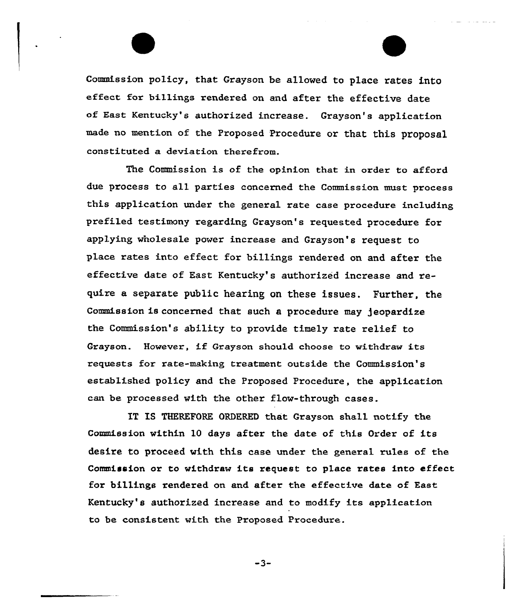Commission policy, that Grayson be allowed to place rates into effect for billings rendered on and after the effective date of East Kentucky's authorized increase. Grayson's application made no mention of the Proposed Procedure or that this proposal constituted a deviation therefrom.

The Commission is of the opinion that in order to afford due process to all parties concerned the Commission must process this application under the general rate case procedure including prefiled testimony regarding Grayson's requested procedure for applying wholesale power increase and Grayson's request to place rates into effect for billings rendered on and after the effective date of East Kentucky's authorized increase and require a separate public hearing on these issues. Further, the Commission is concerned that such a procedure may )eopardize the Commission's ability to provide timely rate relief to Grayson. However, if Grayson should choose to withdraw its requests for rate-making treatment outside the Commission's established policy and the Proposed Procedure, the application can be processed with the other flow-through cases.

IT IS THEREFORE ORDERED that Grayson shall notify the Commission within 10 days after the date of this Ordex of its desire to proceed with this case under the genera1 rules of the Commission or to withdraw its request to place rates into effect for billings rendered on and after the effective date of East Kentucky's authorized increase and to modify its application to be consistent with the Proposed Procedure.

 $-3-$